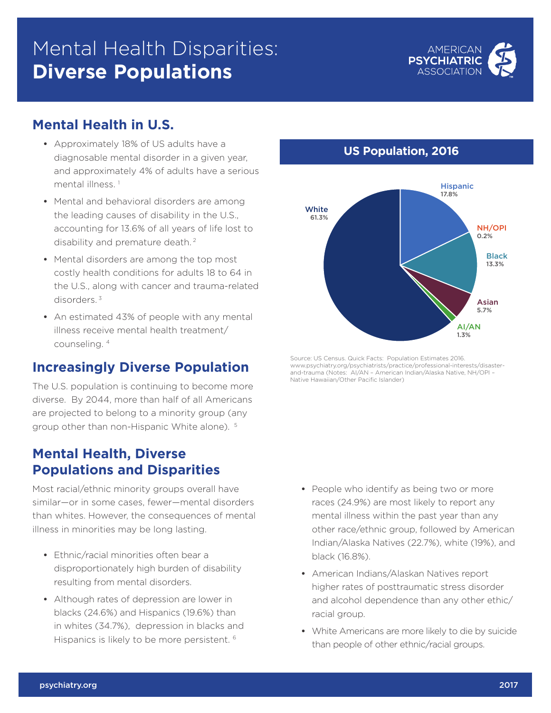# Mental Health Disparities: **Diverse Populations**



### **Mental Health in U.S.**

- **•** Approximately 18% of US adults have a diagnosable mental disorder in a given year, and approximately 4% of adults have a serious mental illness.<sup>1</sup>
- **•** Mental and behavioral disorders are among the leading causes of disability in the U.S., accounting for 13.6% of all years of life lost to disability and premature death. 2
- **•** Mental disorders are among the top most costly health conditions for adults 18 to 64 in the U.S., along with cancer and trauma-related disorders. 3
- **•** An estimated 43% of people with any mental illness receive mental health treatment/ counseling. 4

# **Increasingly Diverse Population**

The U.S. population is continuing to become more diverse. By 2044, more than half of all Americans are projected to belong to a minority group (any group other than non-Hispanic White alone). 5

#### **Mental Health, Diverse Populations and Disparities**

Most racial/ethnic minority groups overall have similar—or in some cases, fewer—mental disorders than whites. However, the consequences of mental illness in minorities may be long lasting.

- **•** Ethnic/racial minorities often bear a disproportionately high burden of disability resulting from mental disorders.
- **•** Although rates of depression are lower in blacks (24.6%) and Hispanics (19.6%) than in whites (34.7%), depression in blacks and Hispanics is likely to be more persistent. 6

#### **US Population, 2016**



Source: US Census. Quick Facts: Population Estimates 2016. www.psychiatry.org/psychiatrists/practice/professional-interests/disasterand-trauma (Notes: AI/AN – American Indian/Alaska Native, NH/OPI – Native Hawaiian/Other Pacific Islander)

- **•** People who identify as being two or more races (24.9%) are most likely to report any mental illness within the past year than any other race/ethnic group, followed by American Indian/Alaska Natives (22.7%), white (19%), and black (16.8%).
- **•** American Indians/Alaskan Natives report higher rates of posttraumatic stress disorder and alcohol dependence than any other ethic/ racial group.
- **•** White Americans are more likely to die by suicide than people of other ethnic/racial groups.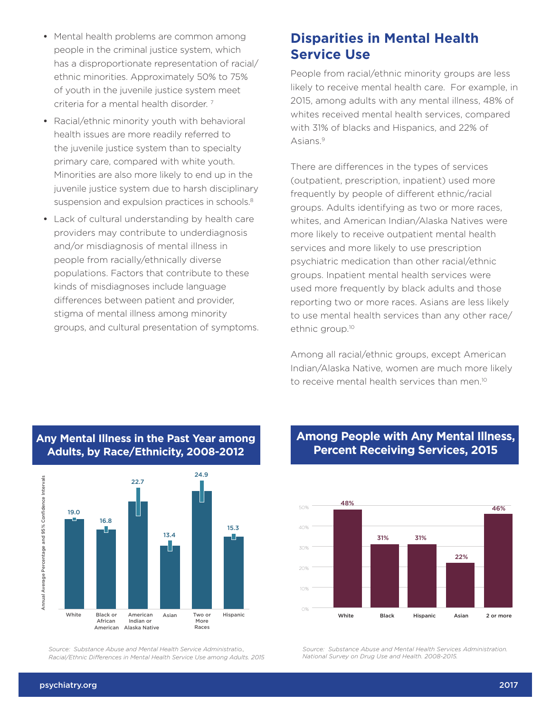- **•** Mental health problems are common among people in the criminal justice system, which has a disproportionate representation of racial/ ethnic minorities. Approximately 50% to 75% of youth in the juvenile justice system meet criteria for a mental health disorder. 7
- **•** Racial/ethnic minority youth with behavioral health issues are more readily referred to the juvenile justice system than to specialty primary care, compared with white youth. Minorities are also more likely to end up in the juvenile justice system due to harsh disciplinary suspension and expulsion practices in schools.<sup>8</sup>
- **•** Lack of cultural understanding by health care providers may contribute to underdiagnosis and/or misdiagnosis of mental illness in people from racially/ethnically diverse populations. Factors that contribute to these kinds of misdiagnoses include language differences between patient and provider, stigma of mental illness among minority groups, and cultural presentation of symptoms.

## **Disparities in Mental Health Service Use**

People from racial/ethnic minority groups are less likely to receive mental health care. For example, in 2015, among adults with any mental illness, 48% of whites received mental health services, compared with 31% of blacks and Hispanics, and 22% of Asians.9

There are differences in the types of services (outpatient, prescription, inpatient) used more frequently by people of different ethnic/racial groups. Adults identifying as two or more races, whites, and American Indian/Alaska Natives were more likely to receive outpatient mental health services and more likely to use prescription psychiatric medication than other racial/ethnic groups. Inpatient mental health services were used more frequently by black adults and those reporting two or more races. Asians are less likely to use mental health services than any other race/ ethnic group.10

Among all racial/ethnic groups, except American Indian/Alaska Native, women are much more likely to receive mental health services than men.10



 Any Mental Illness in the Past Year among Adults, by Race/Ethnicity, 2008-2012 **Adults, by Race/Ethnicity, 2008-2012 Any Mental Illness in the Past Year among** 

.<br>Source: Substance Abuse and Mental Health Service Administratio., *Racial/Ethnic Differences in Mental Health Service Use among Adults. 2015*

#### **Among People with Any Mental Illness, Percent Receiving Services, 2015**



*Source: Substance Abuse and Mental Health Services Administration. National Survey on Drug Use and Health. 2008-2015.*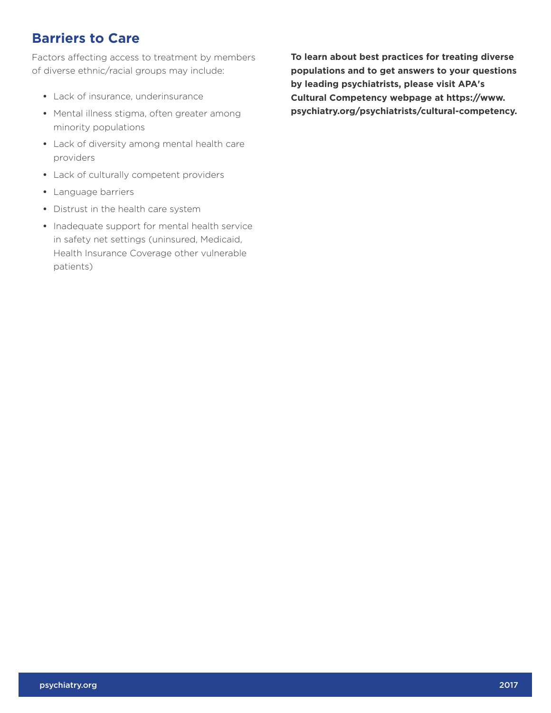### **Barriers to Care**

Factors affecting access to treatment by members of diverse ethnic/racial groups may include:

- **•** Lack of insurance, underinsurance
- **•** Mental illness stigma, often greater among minority populations
- **•** Lack of diversity among mental health care providers
- **•** Lack of culturally competent providers
- **•** Language barriers
- **•** Distrust in the health care system
- **•** Inadequate support for mental health service in safety net settings (uninsured, Medicaid, Health Insurance Coverage other vulnerable patients)

**To learn about best practices for treating diverse populations and to get answers to your questions by leading psychiatrists, please visit APA's Cultural Competency webpage at https://www. psychiatry.org/psychiatrists/cultural-competency.**